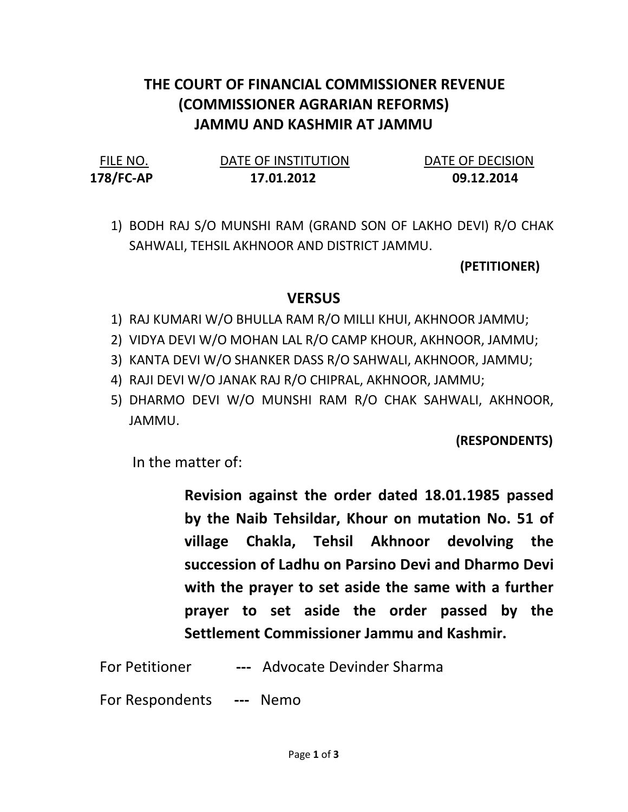## THE COURT OF FINANCIAL COMMISSIONER REVENUE (COMMISSIONER AGRARIAN REFORMS) JAMMU AND KASHMIR AT JAMMU

178/FC-AP 17.01.2012 09.12.2014

FILE NO. DATE OF INSTITUTION DATE OF DECISION

1) BODH RAJ S/O MUNSHI RAM (GRAND SON OF LAKHO DEVI) R/O CHAK SAHWALI, TEHSIL AKHNOOR AND DISTRICT JAMMU.

(PETITIONER)

## **VERSUS**

- 1) RAJ KUMARI W/O BHULLA RAM R/O MILLI KHUI, AKHNOOR JAMMU;
- 2) VIDYA DEVI W/O MOHAN LAL R/O CAMP KHOUR, AKHNOOR, JAMMU;
- 3) KANTA DEVI W/O SHANKER DASS R/O SAHWALI, AKHNOOR, JAMMU;
- 4) RAJI DEVI W/O JANAK RAJ R/O CHIPRAL, AKHNOOR, JAMMU;
- 5) DHARMO DEVI W/O MUNSHI RAM R/O CHAK SAHWALI, AKHNOOR, JAMMU.

(RESPONDENTS)

In the matter of:

Revision against the order dated 18.01.1985 passed by the Naib Tehsildar, Khour on mutation No. 51 of village Chakla, Tehsil Akhnoor devolving the succession of Ladhu on Parsino Devi and Dharmo Devi with the prayer to set aside the same with a further prayer to set aside the order passed by the Settlement Commissioner Jammu and Kashmir.

For Petitioner --- Advocate Devinder Sharma

For Respondents --- Nemo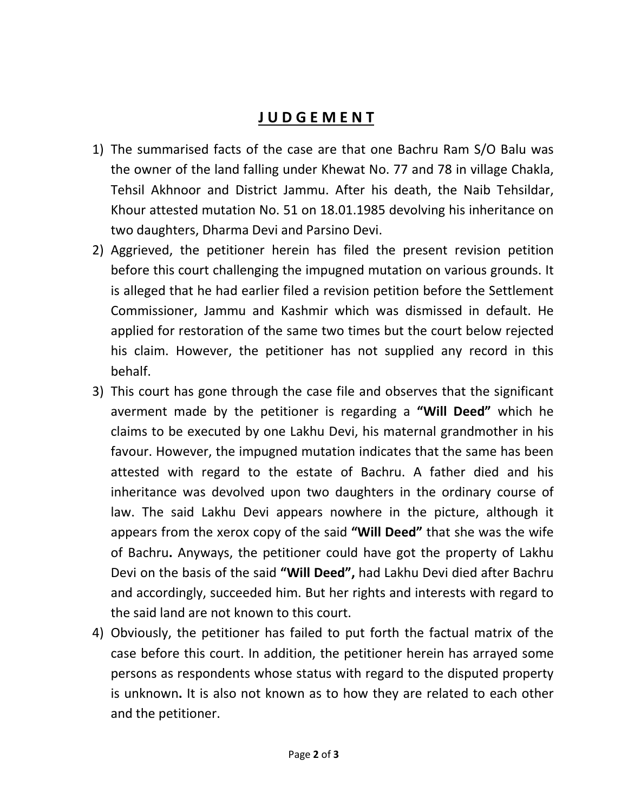## J U D G E M E N T

- 1) The summarised facts of the case are that one Bachru Ram S/O Balu was the owner of the land falling under Khewat No. 77 and 78 in village Chakla, Tehsil Akhnoor and District Jammu. After his death, the Naib Tehsildar, Khour attested mutation No. 51 on 18.01.1985 devolving his inheritance on two daughters, Dharma Devi and Parsino Devi.
- 2) Aggrieved, the petitioner herein has filed the present revision petition before this court challenging the impugned mutation on various grounds. It is alleged that he had earlier filed a revision petition before the Settlement Commissioner, Jammu and Kashmir which was dismissed in default. He applied for restoration of the same two times but the court below rejected his claim. However, the petitioner has not supplied any record in this behalf.
- 3) This court has gone through the case file and observes that the significant averment made by the petitioner is regarding a "Will Deed" which he claims to be executed by one Lakhu Devi, his maternal grandmother in his favour. However, the impugned mutation indicates that the same has been attested with regard to the estate of Bachru. A father died and his inheritance was devolved upon two daughters in the ordinary course of law. The said Lakhu Devi appears nowhere in the picture, although it appears from the xerox copy of the said "Will Deed" that she was the wife of Bachru. Anyways, the petitioner could have got the property of Lakhu Devi on the basis of the said "Will Deed", had Lakhu Devi died after Bachru and accordingly, succeeded him. But her rights and interests with regard to the said land are not known to this court.
- 4) Obviously, the petitioner has failed to put forth the factual matrix of the case before this court. In addition, the petitioner herein has arrayed some persons as respondents whose status with regard to the disputed property is unknown. It is also not known as to how they are related to each other and the petitioner.